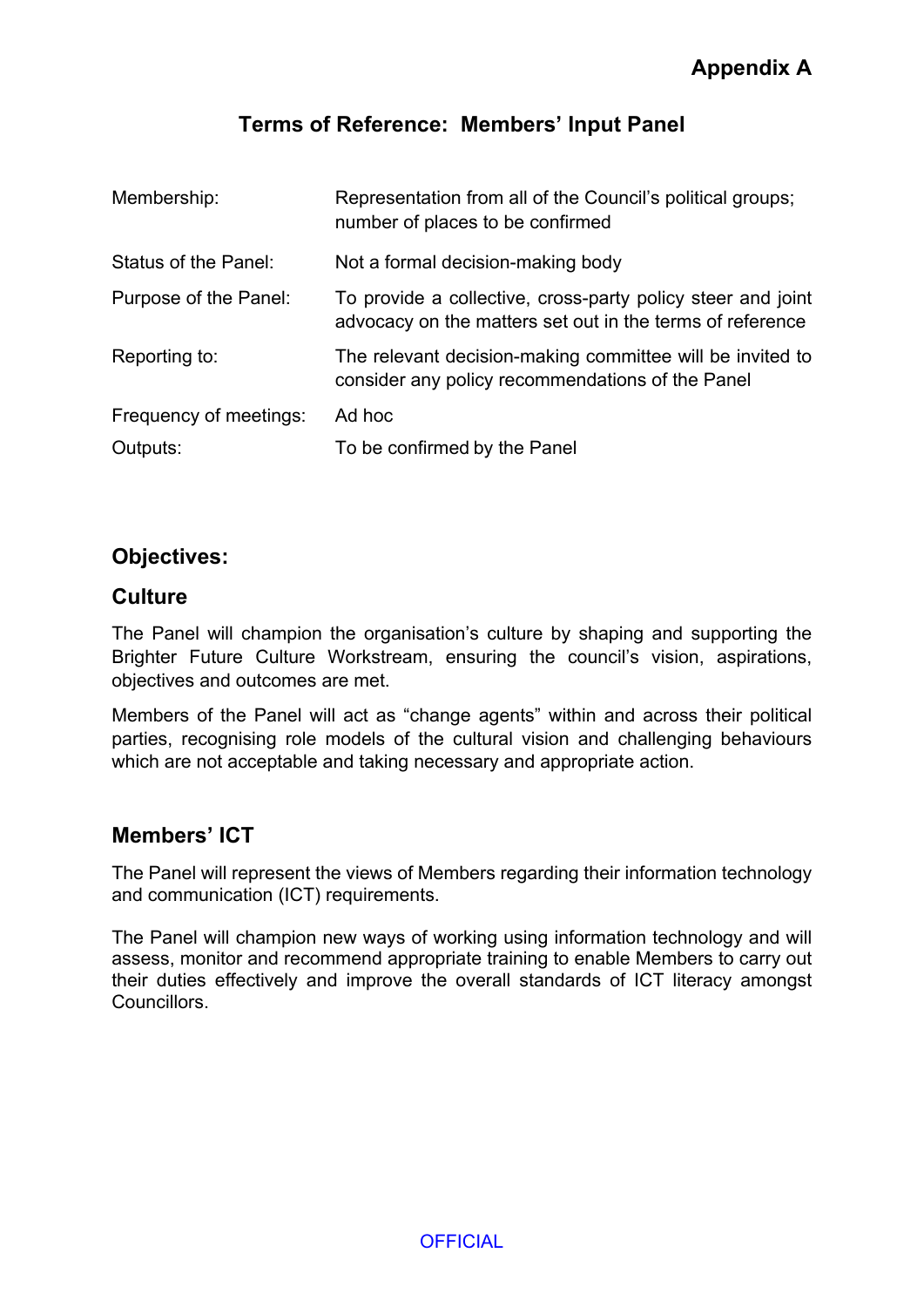# **Terms of Reference: Members' Input Panel**

| Membership:            | Representation from all of the Council's political groups;<br>number of places to be confirmed                           |
|------------------------|--------------------------------------------------------------------------------------------------------------------------|
| Status of the Panel:   | Not a formal decision-making body                                                                                        |
| Purpose of the Panel:  | To provide a collective, cross-party policy steer and joint<br>advocacy on the matters set out in the terms of reference |
| Reporting to:          | The relevant decision-making committee will be invited to<br>consider any policy recommendations of the Panel            |
| Frequency of meetings: | Ad hoc                                                                                                                   |
| Outputs:               | To be confirmed by the Panel                                                                                             |

### **Objectives:**

#### **Culture**

The Panel will champion the organisation's culture by shaping and supporting the Brighter Future Culture Workstream, ensuring the council's vision, aspirations, objectives and outcomes are met.

Members of the Panel will act as "change agents" within and across their political parties, recognising role models of the cultural vision and challenging behaviours which are not acceptable and taking necessary and appropriate action.

#### **Members' ICT**

The Panel will represent the views of Members regarding their information technology and communication (ICT) requirements.

The Panel will champion new ways of working using information technology and will assess, monitor and recommend appropriate training to enable Members to carry out their duties effectively and improve the overall standards of ICT literacy amongst **Councillors** 

**OFFICIAL**